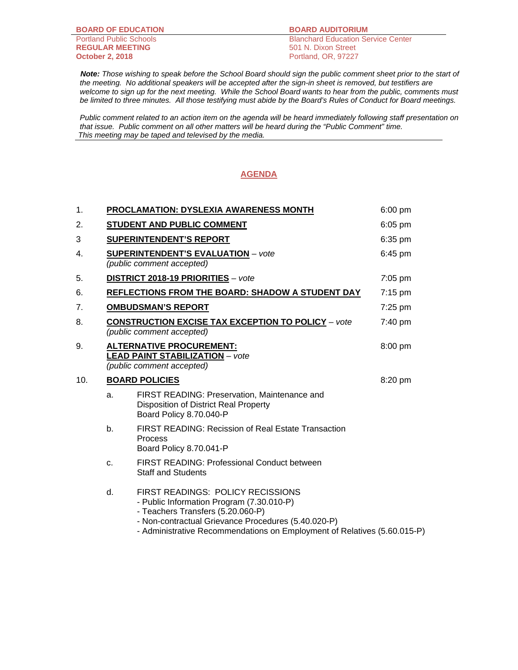**BOARD OF EDUCATION BOARD AUDITORIUM**

**REGULAR MEETING**<br>October 2, 2018

Portland Public Schools<br> **REGULAR MEETING** 501 N. Dixon Street **October 2, 2018** Portland, OR, 97227

 *Note: Those wishing to speak before the School Board should sign the public comment sheet prior to the start of the meeting. No additional speakers will be accepted after the sign-in sheet is removed, but testifiers are*  welcome to sign up for the next meeting. While the School Board wants to hear from the public, comments must *be limited to three minutes. All those testifying must abide by the Board's Rules of Conduct for Board meetings.* 

 *Public comment related to an action item on the agenda will be heard immediately following staff presentation on that issue. Public comment on all other matters will be heard during the "Public Comment" time. This meeting may be taped and televised by the media.* 

## **AGENDA**

| 1.  |                       | <b>PROCLAMATION: DYSLEXIA AWARENESS MONTH</b>                                                                                                                                                                                                                 | $6:00$ pm |
|-----|-----------------------|---------------------------------------------------------------------------------------------------------------------------------------------------------------------------------------------------------------------------------------------------------------|-----------|
| 2.  |                       | STUDENT AND PUBLIC COMMENT                                                                                                                                                                                                                                    | 6:05 pm   |
| 3   |                       | <b>SUPERINTENDENT'S REPORT</b>                                                                                                                                                                                                                                | 6:35 pm   |
| 4.  |                       | <b>SUPERINTENDENT'S EVALUATION - vote</b><br>(public comment accepted)                                                                                                                                                                                        | 6:45 pm   |
| 5.  |                       | DISTRICT 2018-19 PRIORITIES - vote                                                                                                                                                                                                                            | 7:05 pm   |
| 6.  |                       | REFLECTIONS FROM THE BOARD: SHADOW A STUDENT DAY                                                                                                                                                                                                              | $7:15$ pm |
| 7.  |                       | <b>OMBUDSMAN'S REPORT</b>                                                                                                                                                                                                                                     | 7:25 pm   |
| 8.  |                       | <b>CONSTRUCTION EXCISE TAX EXCEPTION TO POLICY - vote</b><br>(public comment accepted)                                                                                                                                                                        | 7:40 pm   |
| 9.  |                       | <b>ALTERNATIVE PROCUREMENT:</b><br><b>LEAD PAINT STABILIZATION - vote</b><br>(public comment accepted)                                                                                                                                                        | 8:00 pm   |
| 10. | <b>BOARD POLICIES</b> |                                                                                                                                                                                                                                                               | 8:20 pm   |
|     | a.                    | FIRST READING: Preservation, Maintenance and<br>Disposition of District Real Property<br>Board Policy 8.70.040-P                                                                                                                                              |           |
|     | b.                    | <b>FIRST READING: Recission of Real Estate Transaction</b><br>Process<br>Board Policy 8.70.041-P                                                                                                                                                              |           |
|     | C.                    | <b>FIRST READING: Professional Conduct between</b><br><b>Staff and Students</b>                                                                                                                                                                               |           |
|     | d.                    | <b>FIRST READINGS: POLICY RECISSIONS</b><br>- Public Information Program (7.30.010-P)<br>- Teachers Transfers (5.20.060-P)<br>- Non-contractual Grievance Procedures (5.40.020-P)<br>- Administrative Recommendations on Employment of Relatives (5.60.015-P) |           |